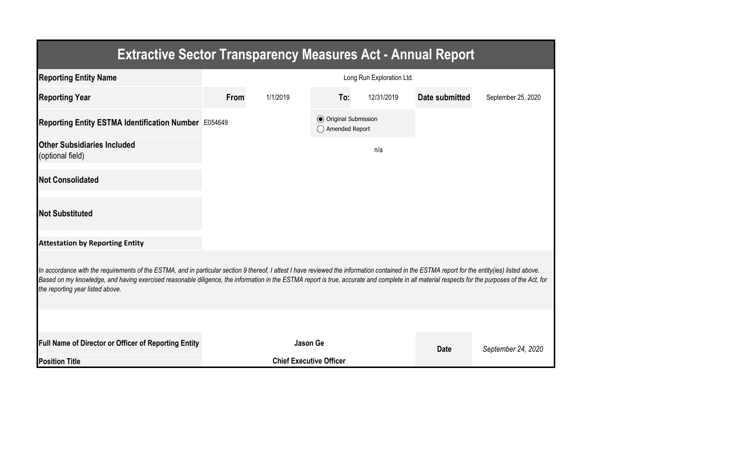| <b>Extractive Sector Transparency Measures Act - Annual Report</b>                                                                                                                                                                                                                                                                                                                                                                    |                           |                                |                                                |            |                |                    |  |  |  |  |
|---------------------------------------------------------------------------------------------------------------------------------------------------------------------------------------------------------------------------------------------------------------------------------------------------------------------------------------------------------------------------------------------------------------------------------------|---------------------------|--------------------------------|------------------------------------------------|------------|----------------|--------------------|--|--|--|--|
| <b>Reporting Entity Name</b>                                                                                                                                                                                                                                                                                                                                                                                                          | Long Run Exploration Ltd. |                                |                                                |            |                |                    |  |  |  |  |
| <b>Reporting Year</b>                                                                                                                                                                                                                                                                                                                                                                                                                 | From                      | 1/1/2019                       | To:                                            | 12/31/2019 | Date submitted | September 25, 2020 |  |  |  |  |
| Reporting Entity ESTMA Identification Number E054649                                                                                                                                                                                                                                                                                                                                                                                  |                           |                                | <b>◎</b> Original Submission<br>Amended Report |            |                |                    |  |  |  |  |
| <b>Other Subsidiaries Included</b><br>(optional field)                                                                                                                                                                                                                                                                                                                                                                                |                           |                                |                                                | n/a        |                |                    |  |  |  |  |
| <b>Not Consolidated</b>                                                                                                                                                                                                                                                                                                                                                                                                               |                           |                                |                                                |            |                |                    |  |  |  |  |
| <b>Not Substituted</b>                                                                                                                                                                                                                                                                                                                                                                                                                |                           |                                |                                                |            |                |                    |  |  |  |  |
| <b>Attestation by Reporting Entity</b>                                                                                                                                                                                                                                                                                                                                                                                                |                           |                                |                                                |            |                |                    |  |  |  |  |
| In accordance with the requirements of the ESTMA, and in particular section 9 thereof, I attest I have reviewed the information contained in the ESTMA report for the entity(ies) listed above.<br>Based on my knowledge, and having exercised reasonable diligence, the information in the ESTMA report is true, accurate and complete in all material respects for the purposes of the Act, for<br>the reporting year listed above. |                           |                                |                                                |            |                |                    |  |  |  |  |
|                                                                                                                                                                                                                                                                                                                                                                                                                                       |                           |                                |                                                |            |                |                    |  |  |  |  |
| Full Name of Director or Officer of Reporting Entity                                                                                                                                                                                                                                                                                                                                                                                  |                           | <b>Jason Ge</b>                |                                                |            | <b>Date</b>    | September 24, 2020 |  |  |  |  |
| <b>Position Title</b>                                                                                                                                                                                                                                                                                                                                                                                                                 |                           | <b>Chief Executive Officer</b> |                                                |            |                |                    |  |  |  |  |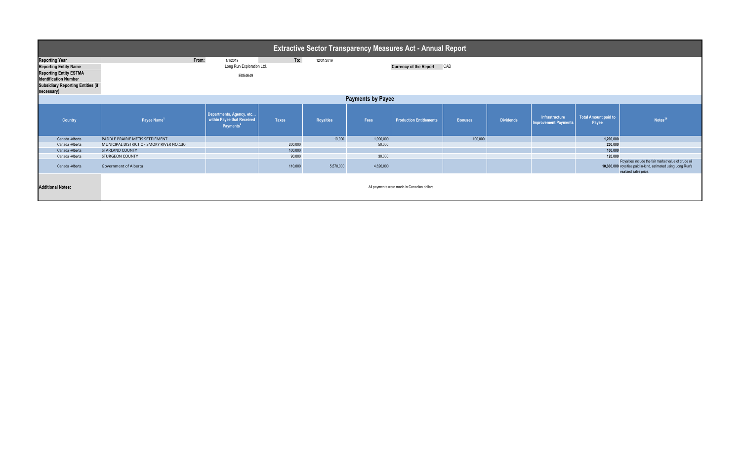| <b>Extractive Sector Transparency Measures Act - Annual Report</b> |                                          |                                                                                 |              |                  |           |                                             |                |                  |                                               |                                      |                                                                                                                                                |  |
|--------------------------------------------------------------------|------------------------------------------|---------------------------------------------------------------------------------|--------------|------------------|-----------|---------------------------------------------|----------------|------------------|-----------------------------------------------|--------------------------------------|------------------------------------------------------------------------------------------------------------------------------------------------|--|
| <b>Reporting Year</b>                                              | From:                                    | 1/1/2019                                                                        | To:          | 12/31/2019       |           |                                             |                |                  |                                               |                                      |                                                                                                                                                |  |
| <b>Reporting Entity Name</b>                                       |                                          | Long Run Exploration Ltd.                                                       |              |                  |           | <b>Currency of the Report</b>               | CAD            |                  |                                               |                                      |                                                                                                                                                |  |
| <b>Reporting Entity ESTMA</b>                                      | E054649                                  |                                                                                 |              |                  |           |                                             |                |                  |                                               |                                      |                                                                                                                                                |  |
| <b>Identification Number</b>                                       |                                          |                                                                                 |              |                  |           |                                             |                |                  |                                               |                                      |                                                                                                                                                |  |
| <b>Subsidiary Reporting Entities (if</b><br>necessary)             |                                          |                                                                                 |              |                  |           |                                             |                |                  |                                               |                                      |                                                                                                                                                |  |
| <b>Payments by Payee</b>                                           |                                          |                                                                                 |              |                  |           |                                             |                |                  |                                               |                                      |                                                                                                                                                |  |
| Country                                                            | Payee Name <sup>1</sup>                  | Departments, Agency, etc<br>within Payee that Received<br>Payments <sup>2</sup> | <b>Taxes</b> | <b>Royalties</b> | Fees      | <b>Production Entitlements</b>              | <b>Bonuses</b> | <b>Dividends</b> | Infrastructure<br><b>Improvement Payments</b> | <b>Total Amount paid to</b><br>Payee | Notes <sup>34</sup>                                                                                                                            |  |
| Canada - Alberta                                                   | PADDLE PRAIRIE METIS SETTLEMENT          |                                                                                 |              | 10,000           | 1,090,000 |                                             | 100,000        |                  |                                               | 1,200,000                            |                                                                                                                                                |  |
| Canada -Alberta                                                    | MUNICIPAL DISTRICT OF SMOKY RIVER NO.130 |                                                                                 | 200,000      |                  | 50,000    |                                             |                |                  |                                               | 250,000                              |                                                                                                                                                |  |
| Canada -Alberta                                                    | <b>STARLAND COUNTY</b>                   |                                                                                 | 100,000      |                  |           |                                             |                |                  |                                               | 100.000                              |                                                                                                                                                |  |
| Canada -Alberta                                                    | <b>STURGEON COUNTY</b>                   |                                                                                 | 90,000       |                  | 30,000    |                                             |                |                  |                                               | 120.000                              |                                                                                                                                                |  |
| Canada -Alberta                                                    | Government of Alberta                    |                                                                                 | 110,000      | 5,570,000        | 4,620,000 |                                             |                |                  |                                               |                                      | Royalties include the fair market value of crude oil<br>10,300,000 royalties paid in-kind, estimated using Long Run's<br>realized sales price. |  |
| <b>Additional Notes:</b>                                           |                                          |                                                                                 |              |                  |           | All payments were made in Canadian dollars. |                |                  |                                               |                                      |                                                                                                                                                |  |